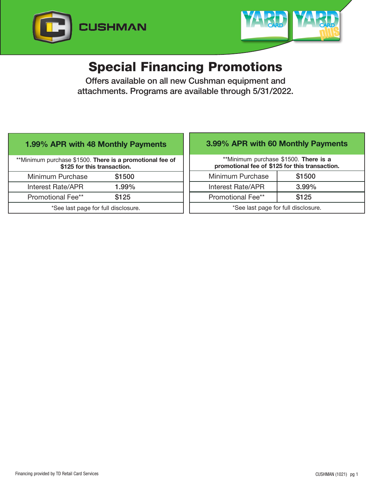



# Special Financing Promotions

Offers available on all new Cushman equipment and attachments. Programs are available through 5/31/2022.

## 1.99% APR with 48 Monthly Payments

| **Minimum purchase \$1500. There is a promotional fee of<br>\$125 for this transaction. |        |
|-----------------------------------------------------------------------------------------|--------|
| Minimum Purchase                                                                        | \$1500 |
| <b>Interest Rate/APR</b>                                                                | 1.99%  |
| <b>Promotional Fee**</b>                                                                | \$125  |
| *See last page for full disclosure.                                                     |        |

# 3.99% APR with 60 Monthly Payments

\*\*Minimum purchase \$1500. There is a promotional fee of \$125 for this transaction.

| Minimum Purchase                    | \$1500   |
|-------------------------------------|----------|
| Interest Rate/APR                   | $3.99\%$ |
| <b>Promotional Fee**</b>            | \$125    |
| *See last page for full disclosure. |          |